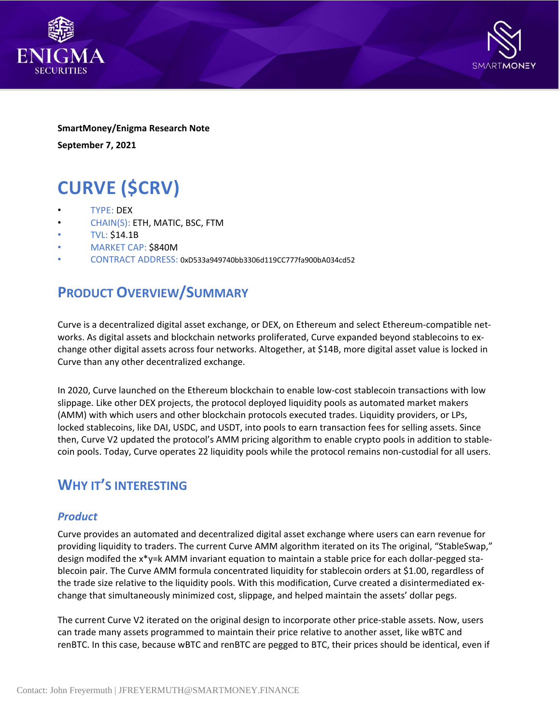



**SmartMoney/Enigma Research Note September 7, 2021**

# **CURVE (\$CRV)**

- TYPE: DEX
- CHAIN(S): ETH, MATIC, BSC, FTM
- TVL: \$14.1B
- MARKET CAP: \$840M
- CONTRACT ADDRESS: 0xD533a949740bb3306d119CC777fa900bA034cd52

### **PRODUCT OVERVIEW/SUMMARY**

Curve is a decentralized digital asset exchange, or DEX, on Ethereum and select Ethereum-compatible networks. As digital assets and blockchain networks proliferated, Curve expanded beyond stablecoins to exchange other digital assets across four networks. Altogether, at \$14B, more digital asset value is locked in Curve than any other decentralized exchange.

In 2020, Curve launched on the Ethereum blockchain to enable low-cost stablecoin transactions with low slippage. Like other DEX projects, the protocol deployed liquidity pools as automated market makers (AMM) with which users and other blockchain protocols executed trades. Liquidity providers, or LPs, locked stablecoins, like DAI, USDC, and USDT, into pools to earn transaction fees for selling assets. Since then, Curve V2 updated the protocol's AMM pricing algorithm to enable crypto pools in addition to stablecoin pools. Today, Curve operates 22 liquidity pools while the protocol remains non-custodial for all users.

### **WHY IT'S INTERESTING**

#### *Product*

Curve provides an automated and decentralized digital asset exchange where users can earn revenue for providing liquidity to traders. The current Curve AMM algorithm iterated on its The original, "StableSwap," design modifed the x\*y=k AMM invariant equation to maintain a stable price for each dollar-pegged stablecoin pair. The Curve AMM formula concentrated liquidity for stablecoin orders at \$1.00, regardless of the trade size relative to the liquidity pools. With this modification, Curve created a disintermediated exchange that simultaneously minimized cost, slippage, and helped maintain the assets' dollar pegs.

The current Curve V2 iterated on the original design to incorporate other price-stable assets. Now, users can trade many assets programmed to maintain their price relative to another asset, like wBTC and renBTC. In this case, because wBTC and renBTC are pegged to BTC, their prices should be identical, even if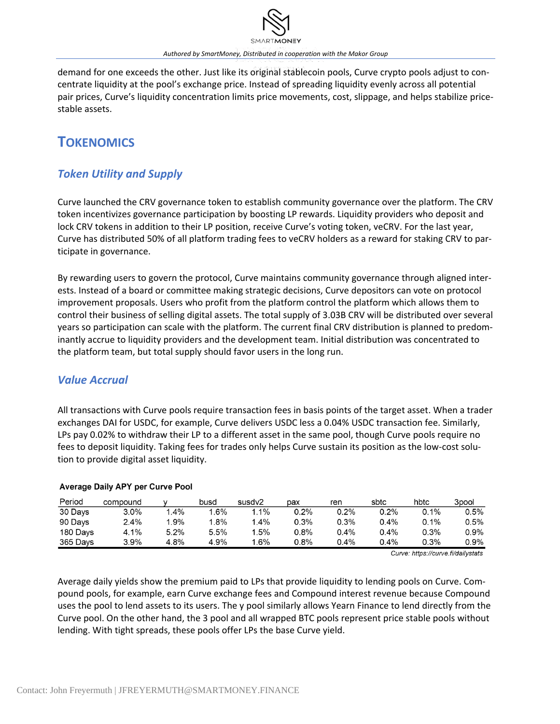*Authored by SmartMoney, Distributed in cooperation with the Makor Group*

demand for one exceeds the other. Just like its original stablecoin pools, Curve crypto pools adjust to concentrate liquidity at the pool's exchange price. Instead of spreading liquidity evenly across all potential pair prices, Curve's liquidity concentration limits price movements, cost, slippage, and helps stabilize pricestable assets.

## **TOKENOMICS**

### *Token Utility and Supply*

Curve launched the CRV governance token to establish community governance over the platform. The CRV token incentivizes governance participation by boosting LP rewards. Liquidity providers who deposit and lock CRV tokens in addition to their LP position, receive Curve's voting token, veCRV. For the last year, Curve has distributed 50% of all platform trading fees to veCRV holders as a reward for staking CRV to participate in governance.

By rewarding users to govern the protocol, Curve maintains community governance through aligned interests. Instead of a board or committee making strategic decisions, Curve depositors can vote on protocol improvement proposals. Users who profit from the platform control the platform which allows them to control their business of selling digital assets. The total supply of 3.03B CRV will be distributed over several years so participation can scale with the platform. The current final CRV distribution is planned to predominantly accrue to liquidity providers and the development team. Initial distribution was concentrated to the platform team, but total supply should favor users in the long run.

### *Value Accrual*

All transactions with Curve pools require transaction fees in basis points of the target asset. When a trader exchanges DAI for USDC, for example, Curve delivers USDC less a 0.04% USDC transaction fee. Similarly, LPs pay 0.02% to withdraw their LP to a different asset in the same pool, though Curve pools require no fees to deposit liquidity. Taking fees for trades only helps Curve sustain its position as the low-cost solution to provide digital asset liquidity.

| <b>Average Daily APY per Curve Pool</b> |  |  |  |  |  |
|-----------------------------------------|--|--|--|--|--|
|-----------------------------------------|--|--|--|--|--|

| Period   | compound |         | busd            | susdv2 | pax     | ren     | sbtc    | hbtc    | 3pool   |
|----------|----------|---------|-----------------|--------|---------|---------|---------|---------|---------|
| 30 Days  | $3.0\%$  | $1.4\%$ | $1.6\%$         | $.1\%$ | 0.2%    | 0.2%    | 0.2%    | 0.1%    | 0.5%    |
| 90 Days  | 2.4%     | 1.9%    | $^{\prime}$ .8% | $.4\%$ | 0.3%    | 0.3%    | 0.4%    | $0.1\%$ | 0.5%    |
| 180 Days | 4.1%     | 5.2%    | 5.5%            | $5\%$  | $0.8\%$ | 0.4%    | $0.4\%$ | $0.3\%$ | $0.9\%$ |
| 365 Days | $3.9\%$  | 4.8%    | 4.9%            | $.6\%$ | $0.8\%$ | $0.4\%$ | $0.4\%$ | 0.3%    | 0.9%    |

Curve: https://curve.fi/dailystats

Average daily yields show the premium paid to LPs that provide liquidity to lending pools on Curve. Compound pools, for example, earn Curve exchange fees and Compound interest revenue because Compound uses the pool to lend assets to its users. The y pool similarly allows Yearn Finance to lend directly from the Curve pool. On the other hand, the 3 pool and all wrapped BTC pools represent price stable pools without lending. With tight spreads, these pools offer LPs the base Curve yield.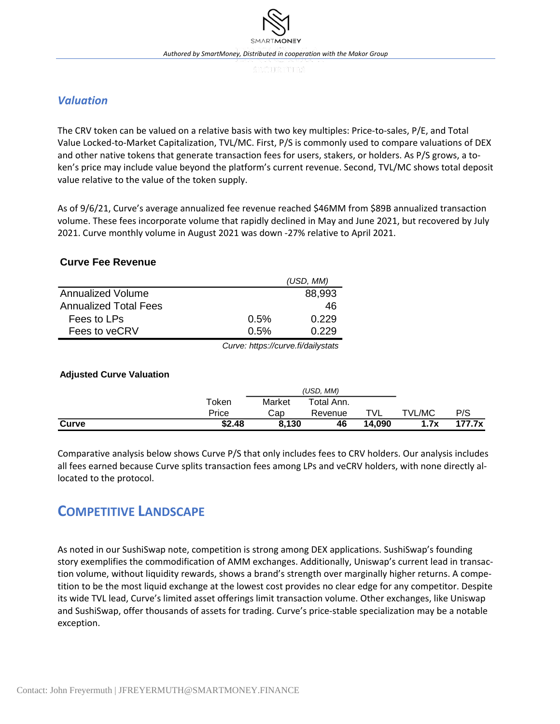### *Valuation*

The CRV token can be valued on a relative basis with two key multiples: Price-to-sales, P/E, and Total Value Locked-to-Market Capitalization, TVL/MC. First, P/S is commonly used to compare valuations of DEX and other native tokens that generate transaction fees for users, stakers, or holders. As P/S grows, a token's price may include value beyond the platform's current revenue. Second, TVL/MC shows total deposit value relative to the value of the token supply.

As of 9/6/21, Curve's average annualized fee revenue reached \$46MM from \$89B annualized transaction volume. These fees incorporate volume that rapidly declined in May and June 2021, but recovered by July 2021. Curve monthly volume in August 2021 was down -27% relative to April 2021.

#### **Curve Fee Revenue**

|                              |      | (USD, MM) |
|------------------------------|------|-----------|
| Annualized Volume            |      | 88,993    |
| <b>Annualized Total Fees</b> |      | 46        |
| Fees to LPs                  | 0.5% | 0.229     |
| Fees to veCRV                | 0.5% | 0.229     |

*Curve: https://curve.fi/dailystats*

#### **Adjusted Curve Valuation**

|       |        |        | (USD, MM)  |        |               |        |
|-------|--------|--------|------------|--------|---------------|--------|
|       | Token  | Market | Total Ann. |        |               |        |
|       | Price  | Cap    | Revenue    | TVL    | <b>TVL/MC</b> | P/S    |
| Curve | \$2.48 | 8.130  | 46         | 14.090 | 1.7x          | 177.7x |

Comparative analysis below shows Curve P/S that only includes fees to CRV holders. Our analysis includes all fees earned because Curve splits transaction fees among LPs and veCRV holders, with none directly allocated to the protocol.

### **COMPETITIVE LANDSCAPE**

As noted in our SushiSwap note, competition is strong among DEX applications. SushiSwap's founding story exemplifies the commodification of AMM exchanges. Additionally, Uniswap's current lead in transaction volume, without liquidity rewards, shows a brand's strength over marginally higher returns. A competition to be the most liquid exchange at the lowest cost provides no clear edge for any competitor. Despite its wide TVL lead, Curve's limited asset offerings limit transaction volume. Other exchanges, like Uniswap and SushiSwap, offer thousands of assets for trading. Curve's price-stable specialization may be a notable exception.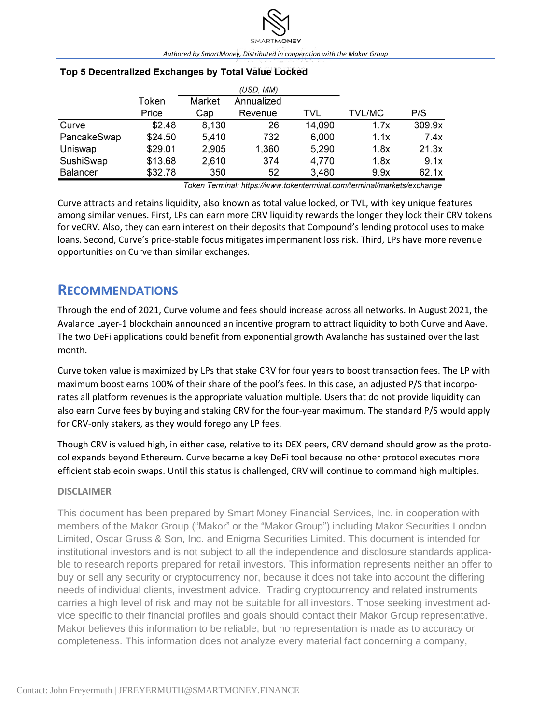|                 |         |        | (USD, MM)  |        |               |        |
|-----------------|---------|--------|------------|--------|---------------|--------|
|                 | Token   | Market | Annualized |        |               |        |
|                 | Price   | Cap    | Revenue    | TVL    | <b>TVL/MC</b> | P/S    |
| Curve           | \$2.48  | 8,130  | 26         | 14,090 | 1.7x          | 309.9x |
| PancakeSwap     | \$24.50 | 5,410  | 732        | 6,000  | 1.1x          | 7.4x   |
| Uniswap         | \$29.01 | 2,905  | 1,360      | 5,290  | 1.8x          | 21.3x  |
| SushiSwap       | \$13.68 | 2,610  | 374        | 4,770  | 1.8x          | 9.1x   |
| <b>Balancer</b> | \$32.78 | 350    | 52         | 3,480  | 9.9x          | 62.1x  |

#### Top 5 Decentralized Exchanges by Total Value Locked

Token Terminal: https://www.tokenterminal.com/terminal/markets/exchange

Curve attracts and retains liquidity, also known as total value locked, or TVL, with key unique features among similar venues. First, LPs can earn more CRV liquidity rewards the longer they lock their CRV tokens for veCRV. Also, they can earn interest on their deposits that Compound's lending protocol uses to make loans. Second, Curve's price-stable focus mitigates impermanent loss risk. Third, LPs have more revenue opportunities on Curve than similar exchanges.

### **RECOMMENDATIONS**

Through the end of 2021, Curve volume and fees should increase across all networks. In August 2021, the Avalance Layer-1 blockchain announced an incentive program to attract liquidity to both Curve and Aave. The two DeFi applications could benefit from exponential growth Avalanche has sustained over the last month.

Curve token value is maximized by LPs that stake CRV for four years to boost transaction fees. The LP with maximum boost earns 100% of their share of the pool's fees. In this case, an adjusted P/S that incorporates all platform revenues is the appropriate valuation multiple. Users that do not provide liquidity can also earn Curve fees by buying and staking CRV for the four-year maximum. The standard P/S would apply for CRV-only stakers, as they would forego any LP fees.

Though CRV is valued high, in either case, relative to its DEX peers, CRV demand should grow as the protocol expands beyond Ethereum. Curve became a key DeFi tool because no other protocol executes more efficient stablecoin swaps. Until this status is challenged, CRV will continue to command high multiples.

#### **DISCLAIMER**

This document has been prepared by Smart Money Financial Services, Inc. in cooperation with members of the Makor Group ("Makor" or the "Makor Group") including Makor Securities London Limited, Oscar Gruss & Son, Inc. and Enigma Securities Limited. This document is intended for institutional investors and is not subject to all the independence and disclosure standards applicable to research reports prepared for retail investors. This information represents neither an offer to buy or sell any security or cryptocurrency nor, because it does not take into account the differing needs of individual clients, investment advice. Trading cryptocurrency and related instruments carries a high level of risk and may not be suitable for all investors. Those seeking investment advice specific to their financial profiles and goals should contact their Makor Group representative. Makor believes this information to be reliable, but no representation is made as to accuracy or completeness. This information does not analyze every material fact concerning a company,